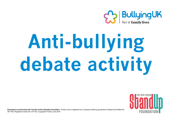

## **Anti-bullying debate activity**



**. Developed in partnership with The Ben Cohen StandUp Foundation**. Family Lives is registered as a company limited by guarantee in England and Wales No. 3817762. Registered charity No.1077722. Copyright © Family Lives 2016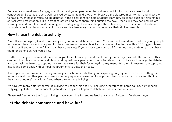Debates are a great way of engaging children and young people in discussions about topics that are current and controversial. Debates are very well received by students and they often break up the classroom convention and allow them to have a much needed voice. Using debates in the classroom can help students learn new skills too such as thinking in a critical way, presentation skills in front of others and helps them think outside the box. Other skills they can acquire are learning to work in a team and planning and strategising. It can also help with confidence, friendships and self-esteem. Using debates in a classroom is all inclusive and involves everyone no matter where their skill set may lie.

## **How to use the debate activity**

You will see on page 3, 4 and 5 we have given you pre-set debate headlines. You can use these ideas or ask the young people to make up their own which is great for their creative and research skills. If you would like to make this PDF bigger please photocopy it and enlarge to A3. You can have time slots if you choose too, such as 15 minutes per debate or you can have them for as long as you would like.

Firstly, choose your teams and it is often a great idea to mix up the students into groups they may not often work in. This can help them learn necessary skills of working with new people. Appoint a facilitator to introduce and manage the debate and then ask the teams to appoint their own speakers for their for or against argument. Ask them to research the topic, look into it and come back with compelling arguments to state their case.

It is important to remember the key messages which are anti-bullying and exploring bullying in more depth. Getting them to understand the other person's position in bullying is also essential to help them learn specific outcomes and think about their own or others' behaviour if and when they witness bullying.

We have got many different forms of bullying to use for this activity, including cyberbullying, name calling, homophobic bullying, legal stance and innocent bystanders. They are all open to debate and issues that are current.

Please feel free to use the #stopbullying if you would like to send us feedback via our Twitter or Facebook pages.

## **Let the debate commence and have fun!**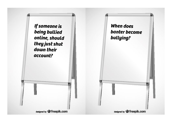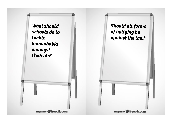